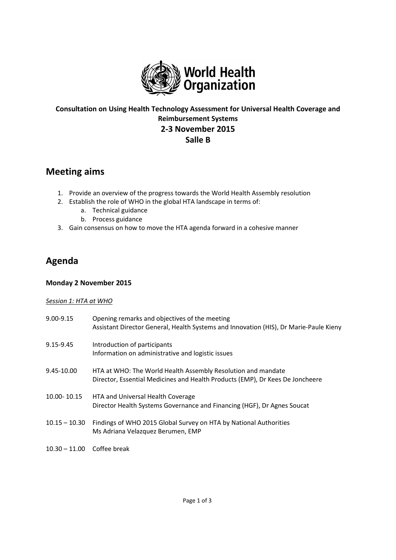

# **Consultation on Using Health Technology Assessment for Universal Health Coverage and Reimbursement Systems 2-3 November 2015 Salle B**

# **Meeting aims**

- 1. Provide an overview of the progress towards the World Health Assembly resolution
- 2. Establish the role of WHO in the global HTA landscape in terms of:
	- a. Technical guidance
	- b. Process guidance
- 3. Gain consensus on how to move the HTA agenda forward in a cohesive manner

# **Agenda**

## **Monday 2 November 2015**

### *Session 1: HTA at WHO*

| 9.00-9.15                    | Opening remarks and objectives of the meeting<br>Assistant Director General, Health Systems and Innovation (HIS), Dr Marie-Paule Kieny        |
|------------------------------|-----------------------------------------------------------------------------------------------------------------------------------------------|
| 9.15-9.45                    | Introduction of participants<br>Information on administrative and logistic issues                                                             |
| 9.45-10.00                   | HTA at WHO: The World Health Assembly Resolution and mandate<br>Director, Essential Medicines and Health Products (EMP), Dr Kees De Joncheere |
| 10.00-10.15                  | HTA and Universal Health Coverage<br>Director Health Systems Governance and Financing (HGF), Dr Agnes Soucat                                  |
| $10.15 - 10.30$              | Findings of WHO 2015 Global Survey on HTA by National Authorities<br>Ms Adriana Velazquez Berumen, EMP                                        |
| $10.30 - 11.00$ Coffee break |                                                                                                                                               |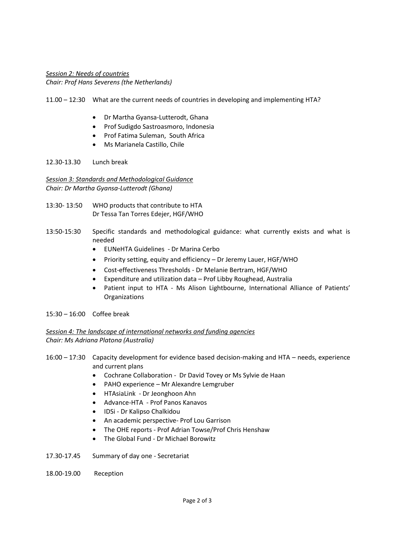## *Session 2: Needs of countries Chair: Prof Hans Severens (the Netherlands)*

- 11.00 12:30 What are the current needs of countries in developing and implementing HTA?
	- Dr Martha Gyansa-Lutterodt, Ghana
	- **•** Prof Sudigdo Sastroasmoro, Indonesia
	- Prof Fatima Suleman, South Africa
	- Ms Marianela Castillo, Chile

#### 12.30-13.30 Lunch break

*Session 3: Standards and Methodological Guidance Chair: Dr Martha Gyansa-Lutterodt (Ghana)*

- 13:30- 13:50 WHO products that contribute to HTA Dr Tessa Tan Torres Edejer, HGF/WHO
- 13:50-15:30 Specific standards and methodological guidance: what currently exists and what is needed
	- **•** EUNeHTA Guidelines Dr Marina Cerbo
	- Priority setting, equity and efficiency Dr Jeremy Lauer, HGF/WHO
	- Cost-effectiveness Thresholds Dr Melanie Bertram, HGF/WHO
	- Expenditure and utilization data Prof Libby Roughead, Australia
	- Patient input to HTA Ms Alison Lightbourne, International Alliance of Patients' Organizations
- 15:30 16:00 Coffee break

### *Session 4: The landscape of international networks and funding agencies Chair: Ms Adriana Platona (Australia)*

- 16:00 17:30 Capacity development for evidence based decision-making and HTA needs, experience and current plans
	- Cochrane Collaboration Dr David Tovey or Ms Sylvie de Haan
	- PAHO experience Mr Alexandre Lemgruber
	- HTAsiaLink Dr Jeonghoon Ahn
	- Advance-HTA Prof Panos Kanavos
	- IDSi Dr Kalipso Chalkidou
	- An academic perspective- Prof Lou Garrison
	- The OHE reports Prof Adrian Towse/Prof Chris Henshaw
	- The Global Fund Dr Michael Borowitz
- 17.30-17.45 Summary of day one Secretariat
- 18.00-19.00 Reception